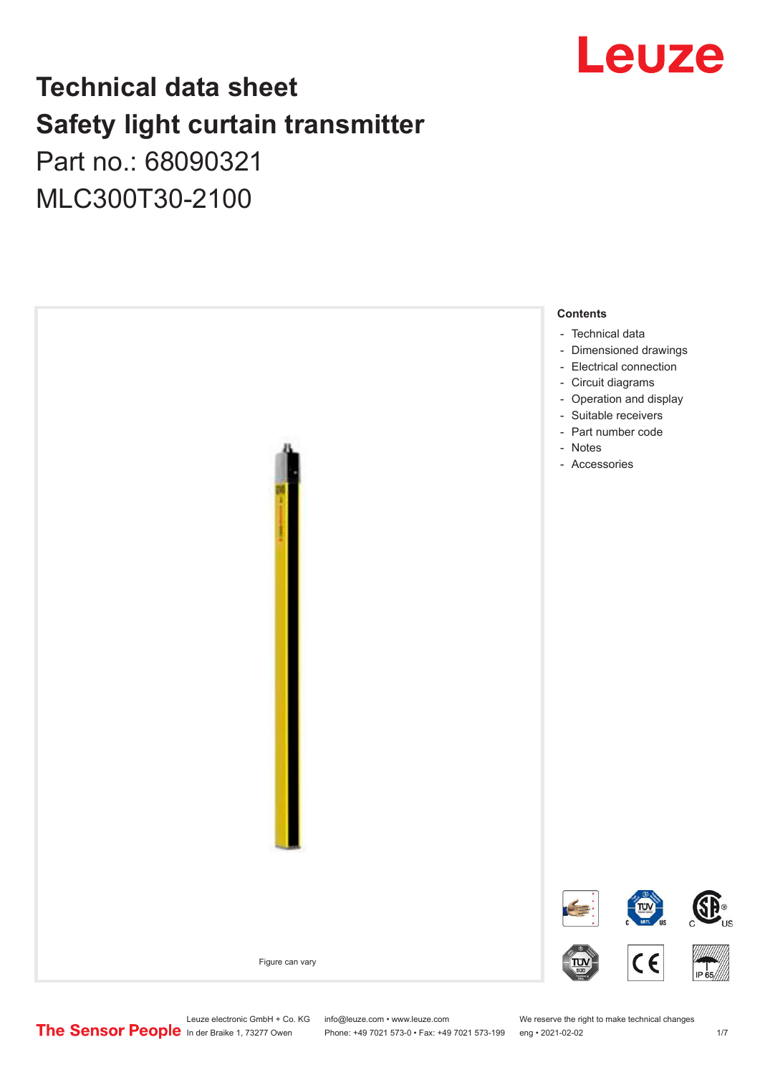

# **Technical data sheet Safety light curtain transmitter**

Part no.: 68090321 MLC300T30-2100



Leuze electronic GmbH + Co. KG info@leuze.com • www.leuze.com We reserve the right to make technical changes<br>
The Sensor People in der Braike 1, 73277 Owen Phone: +49 7021 573-0 • Fax: +49 7021 573-199 eng • 2021-02-02

Phone: +49 7021 573-0 • Fax: +49 7021 573-199 eng • 2021-02-02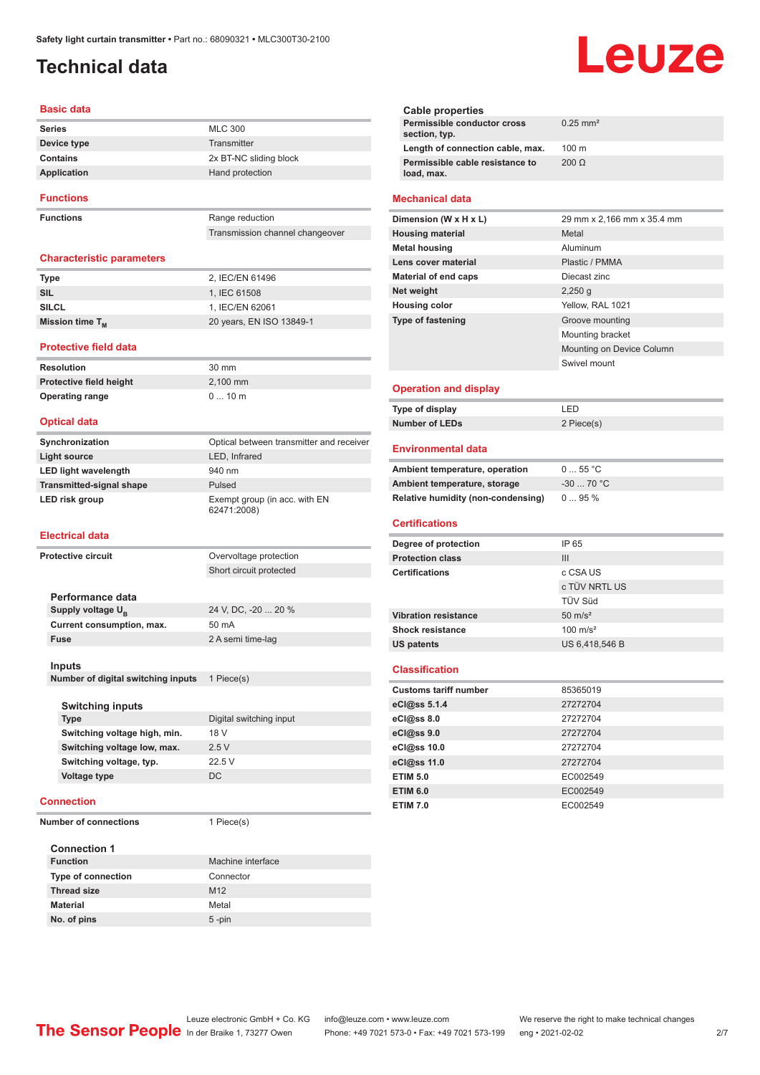# <span id="page-1-0"></span>**Technical data**

#### **Basic data**

| <b>Series</b>    | <b>MLC 300</b>         |
|------------------|------------------------|
| Device type      | Transmitter            |
| Contains         | 2x BT-NC sliding block |
| Application      | Hand protection        |
| <b>Functions</b> |                        |

**Functions** Range reduction

Transmission channel changeover

#### **Characteristic parameters**

| Type                 | 2. IEC/EN 61496          |
|----------------------|--------------------------|
| SIL                  | 1. IEC 61508             |
| <b>SILCL</b>         | 1. IEC/EN 62061          |
| Mission time $T_{M}$ | 20 years, EN ISO 13849-1 |

#### **Protective field data**

**Resolution** 30 mm **Protective field height** 2,100 mm **Operating range** 0 ... 10 m

#### **Optical data**

| Synchronization                 | Optical between transmitter and receiver     |
|---------------------------------|----------------------------------------------|
| Light source                    | LED, Infrared                                |
| <b>LED light wavelength</b>     | 940 nm                                       |
| <b>Transmitted-signal shape</b> | Pulsed                                       |
| LED risk group                  | Exempt group (in acc. with EN<br>62471:2008) |

#### **Electrical data**

| Protective circuit |                                    | Overvoltage protection  |
|--------------------|------------------------------------|-------------------------|
|                    | Short circuit protected            |                         |
|                    |                                    |                         |
|                    | Performance data                   |                         |
|                    | Supply voltage $U_{\rm B}$         | 24 V, DC, -20  20 %     |
|                    | Current consumption, max.          | 50 mA                   |
|                    | <b>Fuse</b>                        | 2 A semi time-lag       |
|                    |                                    |                         |
|                    | Inputs                             |                         |
|                    | Number of digital switching inputs | 1 Piece(s)              |
|                    |                                    |                         |
|                    | <b>Switching inputs</b>            |                         |
|                    | <b>Type</b>                        | Digital switching input |
|                    | Switching voltage high, min.       | 18 V                    |
|                    | Switching voltage low, max.        | 2.5V                    |
|                    | Switching voltage, typ.            | 22.5V                   |
|                    | <b>Voltage type</b>                | <b>DC</b>               |
|                    |                                    |                         |
|                    | Connection                         |                         |

**Number of connections** 1 Piece(s)

| <b>Connection 1</b>       |                   |  |
|---------------------------|-------------------|--|
| <b>Function</b>           | Machine interface |  |
| <b>Type of connection</b> | Connector         |  |
| <b>Thread size</b>        | M <sub>12</sub>   |  |
| <b>Material</b>           | Metal             |  |
| No. of pins               | $5$ -pin          |  |

| $0.25$ mm <sup>2</sup> |
|------------------------|
| $100 \text{ m}$        |
| 200 O                  |
|                        |

#### **Mechanical data**

| Dimension (W x H x L)    | 29 mm x 2,166 mm x 35.4 mm |
|--------------------------|----------------------------|
| <b>Housing material</b>  | Metal                      |
| <b>Metal housing</b>     | Aluminum                   |
| Lens cover material      | Plastic / PMMA             |
| Material of end caps     | Diecast zinc               |
| Net weight               | $2,250$ q                  |
| <b>Housing color</b>     | Yellow, RAL 1021           |
| <b>Type of fastening</b> | Groove mounting            |
|                          | Mounting bracket           |
|                          | Mounting on Device Column  |
|                          | Swivel mount               |
|                          |                            |

#### **Operation and display**

| Type of display | ' FD.      |
|-----------------|------------|
| Number of LEDs  | 2 Piece(s) |

#### **Environmental data**

| Ambient temperature, operation     | $055$ °C    |
|------------------------------------|-------------|
| Ambient temperature, storage       | $-30$ 70 °C |
| Relative humidity (non-condensing) | 095%        |

#### **Certifications**

| Degree of protection        | IP 65               |
|-----------------------------|---------------------|
| <b>Protection class</b>     | Ш                   |
| <b>Certifications</b>       | c CSA US            |
|                             | c TÜV NRTL US       |
|                             | <b>TÜV Süd</b>      |
| <b>Vibration resistance</b> | $50 \text{ m/s}^2$  |
| <b>Shock resistance</b>     | $100 \text{ m/s}^2$ |
| <b>US patents</b>           | US 6,418,546 B      |

#### **Classification**

| <b>Customs tariff number</b> | 85365019 |
|------------------------------|----------|
| eCl@ss 5.1.4                 | 27272704 |
| eCl@ss 8.0                   | 27272704 |
| $eC$ <sub>l</sub> $@ss$ 9.0  | 27272704 |
| eCl@ss 10.0                  | 27272704 |
| eCl@ss 11.0                  | 27272704 |
| <b>ETIM 5.0</b>              | EC002549 |
| <b>ETIM 6.0</b>              | EC002549 |
| <b>ETIM 7.0</b>              | EC002549 |

# Leuze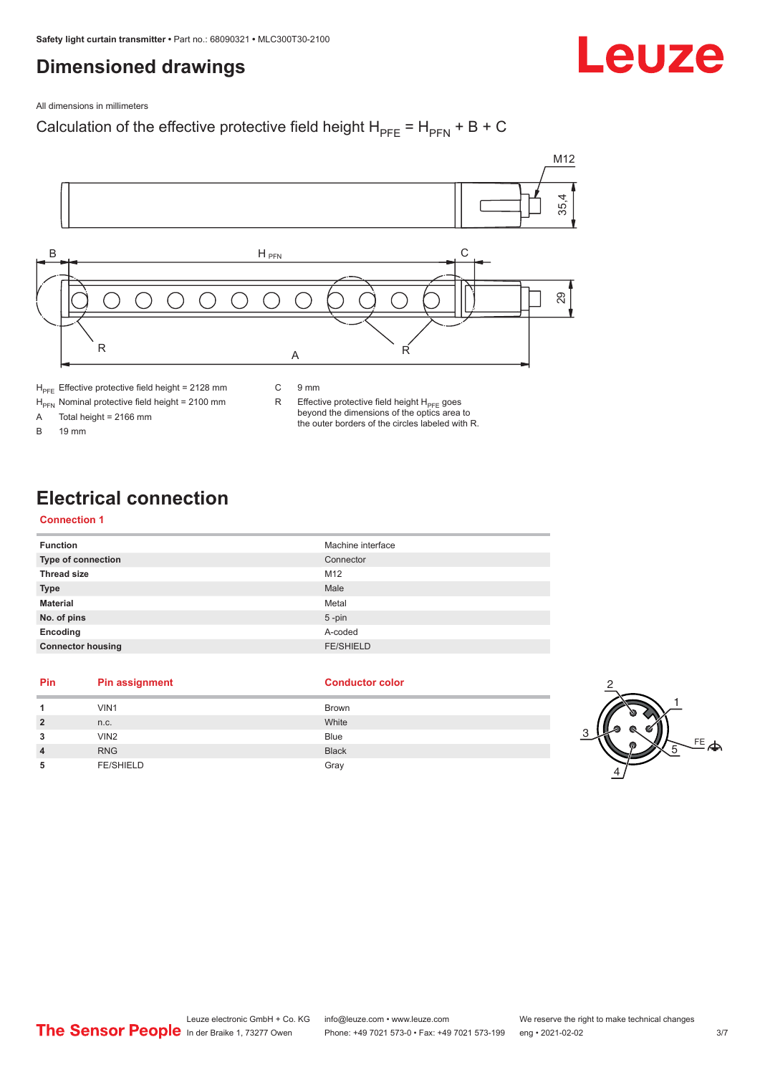# <span id="page-2-0"></span>**Dimensioned drawings**



All dimensions in millimeters

# Calculation of the effective protective field height  $H_{PFE} = H_{PFN} + B + C$



 $H<sub>PE</sub>$  Effective protective field height = 2128 mm

 $H_{\text{PFN}}$  Nominal protective field height = 2100 mm<br>A Total height = 2166 mm

Total height =  $2166$  mm

B 19 mm

C 9 mm

R Effective protective field height  $H_{PFE}$  goes beyond the dimensions of the optics area to the outer borders of the circles labeled with R.

# **Electrical connection**

#### **Connection 1**

| <b>Function</b>           | Machine interface |
|---------------------------|-------------------|
| <b>Type of connection</b> | Connector         |
| <b>Thread size</b>        | M12               |
| <b>Type</b>               | Male              |
| <b>Material</b>           | Metal             |
| No. of pins               | $5$ -pin          |
| Encoding                  | A-coded           |
| <b>Connector housing</b>  | <b>FE/SHIELD</b>  |

#### **Pin Pin assignment Conductor Conductor Color**

| 1              | VIN1             | Brown        |   |
|----------------|------------------|--------------|---|
| $\overline{2}$ | n.c.             | White        |   |
| 3              | VIN <sub>2</sub> | <b>Blue</b>  | ◠ |
| $\overline{4}$ | <b>RNG</b>       | <b>Black</b> |   |
| 5              | <b>FE/SHIELD</b> | Gray         |   |



2

4

 $FE$  $\spadesuit$ 

1

5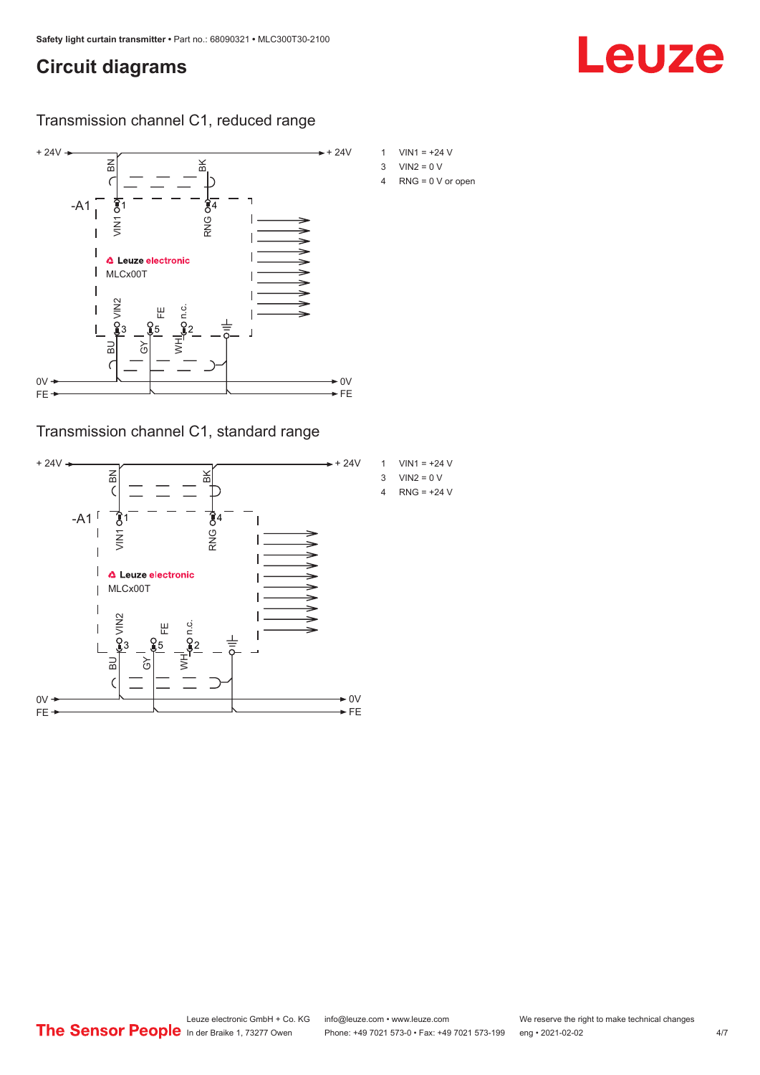# <span id="page-3-0"></span>**Circuit diagrams**

#### Transmission channel C1, reduced range



### Transmission channel C1, standard range



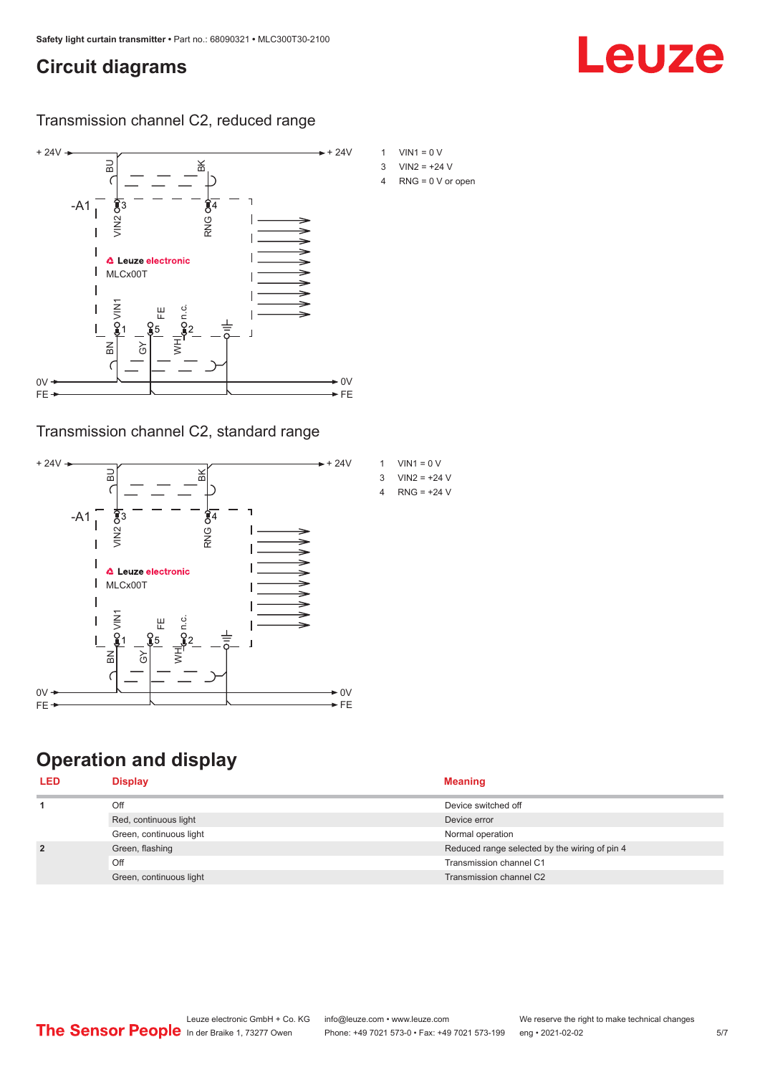# <span id="page-4-0"></span>**Circuit diagrams**

#### Transmission channel C2, reduced range



### Transmission channel C2, standard range



# **Operation and display**

| <b>LED</b>     | <b>Display</b>          | <b>Meaning</b>                                |
|----------------|-------------------------|-----------------------------------------------|
|                | Off                     | Device switched off                           |
|                | Red, continuous light   | Device error                                  |
|                | Green, continuous light | Normal operation                              |
| $\overline{2}$ | Green, flashing         | Reduced range selected by the wiring of pin 4 |
|                | Off                     | Transmission channel C1                       |
|                | Green, continuous light | Transmission channel C2                       |

Leuze

| $VIN1 = 0 V$    |
|-----------------|
| $1/1112 = +241$ |

4 RNG = 0 V or open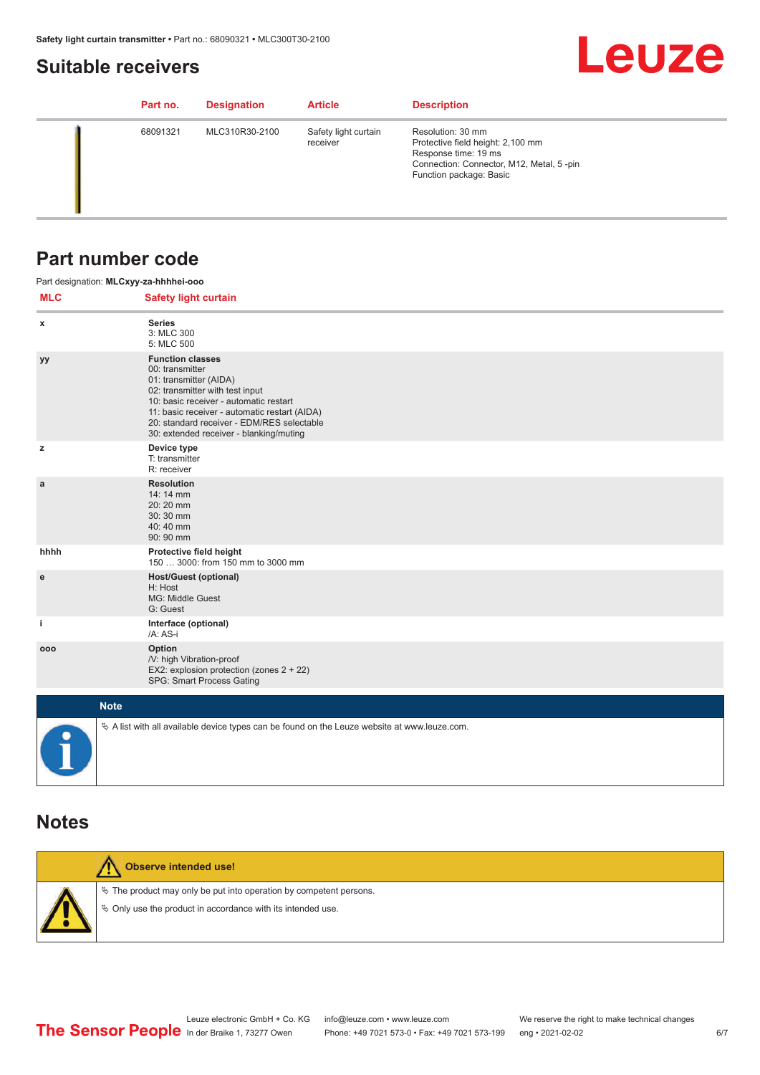# <span id="page-5-0"></span>**Suitable receivers**



| Part no. | <b>Designation</b> | <b>Article</b>                   | <b>Description</b>                                                                                                                                    |
|----------|--------------------|----------------------------------|-------------------------------------------------------------------------------------------------------------------------------------------------------|
| 68091321 | MLC310R30-2100     | Safety light curtain<br>receiver | Resolution: 30 mm<br>Protective field height: 2,100 mm<br>Response time: 19 ms<br>Connection: Connector, M12, Metal, 5-pin<br>Function package: Basic |

### **Part number code**

|            | Part designation: MLCxyy-za-hhhhei-ooo                                                                                                                                                                                                                                                      |
|------------|---------------------------------------------------------------------------------------------------------------------------------------------------------------------------------------------------------------------------------------------------------------------------------------------|
| <b>MLC</b> | <b>Safety light curtain</b>                                                                                                                                                                                                                                                                 |
| x          | <b>Series</b><br>3: MLC 300<br>5: MLC 500                                                                                                                                                                                                                                                   |
| yy         | <b>Function classes</b><br>00: transmitter<br>01: transmitter (AIDA)<br>02: transmitter with test input<br>10: basic receiver - automatic restart<br>11: basic receiver - automatic restart (AIDA)<br>20: standard receiver - EDM/RES selectable<br>30: extended receiver - blanking/muting |
| z          | Device type<br>T: transmitter<br>R: receiver                                                                                                                                                                                                                                                |
| a          | <b>Resolution</b><br>14:14 mm<br>20:20 mm<br>30:30 mm<br>40:40 mm<br>90: 90 mm                                                                                                                                                                                                              |
| hhhh       | Protective field height<br>150  3000: from 150 mm to 3000 mm                                                                                                                                                                                                                                |
| e          | <b>Host/Guest (optional)</b><br>H: Host<br>MG: Middle Guest<br>G: Guest                                                                                                                                                                                                                     |
| j.         | Interface (optional)<br>/A: AS-i                                                                                                                                                                                                                                                            |
| 000        | Option<br>/V: high Vibration-proof<br>EX2: explosion protection (zones 2 + 22)<br>SPG: Smart Process Gating                                                                                                                                                                                 |
|            | <b>Note</b>                                                                                                                                                                                                                                                                                 |
|            | $\&$ A list with all available device types can be found on the Leuze website at www.leuze.com.                                                                                                                                                                                             |

### **Notes**

| <b>Observe intended use!</b>                                                                                                         |  |
|--------------------------------------------------------------------------------------------------------------------------------------|--|
| $\&$ The product may only be put into operation by competent persons.<br>§ Only use the product in accordance with its intended use. |  |